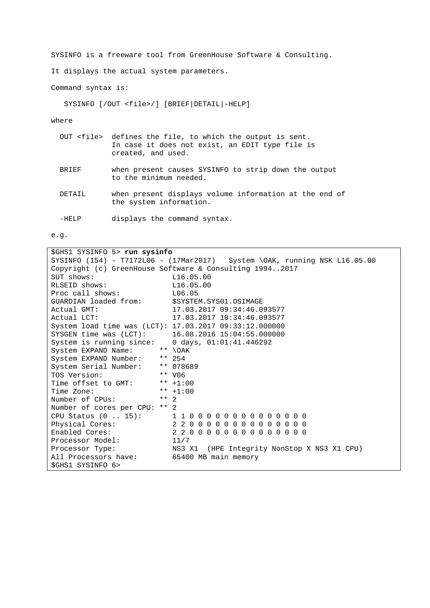SYSINFO is a freeware tool from GreenHouse Software & Consulting.

It displays the actual system parameters.

Command syntax is:

SYSINFO [/OUT <file>/] [BRIEF|DETAIL|-HELP]

where

|              | OUT <file> defines the file, to which the output is sent.<br/>In case it does not exist, an EDIT type file is<br/>created, and used.</file> |
|--------------|---------------------------------------------------------------------------------------------------------------------------------------------|
| <b>BRTEF</b> | when present causes SYSINFO to strip down the output<br>to the minimum needed.                                                              |
| DETATI.      | when present displays volume information at the end of<br>the system information.                                                           |

-HELP displays the command syntax.

e.g.

| \$GHS1 SYSINFO 5> run sysinfo                                 |                                                                           |  |  |  |  |
|---------------------------------------------------------------|---------------------------------------------------------------------------|--|--|--|--|
|                                                               | SYSINFO (154) - T7172L06 - (17Mar2017) System \OAK, running NSK L16.05.00 |  |  |  |  |
| Copyright (c) GreenHouse Software & Consulting 19942017       |                                                                           |  |  |  |  |
| SUT shows:                                                    | L16.05.00                                                                 |  |  |  |  |
| RLSEID shows:                                                 | L16.05.00                                                                 |  |  |  |  |
| Proc call shows: L06.05                                       |                                                                           |  |  |  |  |
| GUARDIAN loaded from: \$SYSTEM.SYS01.OSIMAGE                  |                                                                           |  |  |  |  |
| Actual GMT:                                                   | 17.03.2017 09:34:46.093577                                                |  |  |  |  |
| Actual LCT:                                                   | 17.03.2017 10:34:46.093577                                                |  |  |  |  |
|                                                               | System load time was (LCT): 17.03.2017 09:33:12.000000                    |  |  |  |  |
| SYSGEN time was (LCT):                                        | $16.08.2016$ $15:04:55.000000$                                            |  |  |  |  |
| System is running since: $0 \text{ days}$ , $01:01:41.446292$ |                                                                           |  |  |  |  |
| System EXPAND Name:                                           | ** $\Delta$                                                               |  |  |  |  |
| System EXPAND Number:                                         | $** 254$                                                                  |  |  |  |  |
| System Serial Number:                                         | ** 078689                                                                 |  |  |  |  |
| TOS Version:                                                  | ** V06                                                                    |  |  |  |  |
| Time offset to GMT:                                           | ** $+1:00$                                                                |  |  |  |  |
| Time Zone:                                                    | ** $+1:00$                                                                |  |  |  |  |
| Number of CPUs:                                               | $***$ 2                                                                   |  |  |  |  |
| Number of cores per CPU:                                      | $***$ 2                                                                   |  |  |  |  |
| CPU Status $(0 \ldots 15)$ :                                  | 1100000000000000                                                          |  |  |  |  |
| Physical Cores:                                               | 22000000000000000                                                         |  |  |  |  |
| Enabled Cores:                                                | 2 2 0 0 0 0 0 0 0 0 0 0 0 0 0                                             |  |  |  |  |
| Processor Model:                                              | 11/7                                                                      |  |  |  |  |
| Processor Type:                                               | NS3 X1 (HPE Integrity NonStop X NS3 X1 CPU)                               |  |  |  |  |
| All Processors have:                                          | 65400 MB main memory                                                      |  |  |  |  |
| \$GHS1 SYSINFO 6>                                             |                                                                           |  |  |  |  |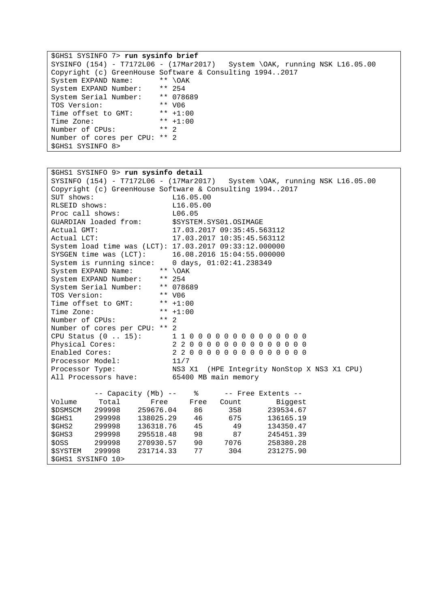\$GHS1 SYSINFO 7> **run sysinfo brief** SYSINFO (154) - T7172L06 - (17Mar2017) System \OAK, running NSK L16.05.00 Copyright (c) GreenHouse Software & Consulting 1994..2017 System EXPAND Name: \*\* \OAK<br>System EXPAND Number: \*\* 254<br>System Serial Number: \*\* 078689 System EXPAND Number: System Serial Number: \*\* 0786<br>TOS Version: \*\* 006 TOS Version: \*\* V06<br>Time offset to GMT: \*\* +1:00 Time offset to GMT: \*\* +1:00<br>Time Zone: \*\* +1:00 Time Zone: \*\* +1<br>Number of CPUs: \*\* 2 Number of CPUs: Number of cores per CPU: \*\* 2 \$GHS1 SYSINFO 8>

| \$GHS1 SYSINFO 9> run sysinfo detail                              |                               |                                                                           |  |  |  |
|-------------------------------------------------------------------|-------------------------------|---------------------------------------------------------------------------|--|--|--|
|                                                                   |                               | SYSINFO (154) - T7172L06 - (17Mar2017) System \OAK, running NSK L16.05.00 |  |  |  |
| Copyright (c) GreenHouse Software & Consulting 19942017           |                               |                                                                           |  |  |  |
| SUT shows:<br>L16.05.00                                           |                               |                                                                           |  |  |  |
| RLSEID shows:                                                     | L16.05.00                     |                                                                           |  |  |  |
| Proc call shows:                                                  | L06.05                        |                                                                           |  |  |  |
| GUARDIAN loaded from:                                             | \$SYSTEM.SYS01.OSIMAGE        |                                                                           |  |  |  |
| Actual GMT:                                                       | 17.03.2017 09:35:45.563112    |                                                                           |  |  |  |
| Actual LCT:                                                       | 17.03.2017 10:35:45.563112    |                                                                           |  |  |  |
| System load time was (LCT): 17.03.2017 09:33:12.000000            |                               |                                                                           |  |  |  |
| SYSGEN time was (LCT):                                            | 16.08.2016 15:04:55.000000    |                                                                           |  |  |  |
| System is running since:                                          | 0 days, $01:02:41.238349$     |                                                                           |  |  |  |
| System EXPAND Name:<br>** $\backslash$ OAK                        |                               |                                                                           |  |  |  |
| System EXPAND Number:<br>** 254                                   |                               |                                                                           |  |  |  |
| System Serial Number:                                             | ** 078689                     |                                                                           |  |  |  |
| TOS Version:<br>** V06                                            |                               |                                                                           |  |  |  |
| Time offset to GMT:                                               | ** $+1:00$                    |                                                                           |  |  |  |
| Time Zone:                                                        | ** $+1:00$                    |                                                                           |  |  |  |
| $***$ 2<br>Number of CPUs:                                        |                               |                                                                           |  |  |  |
| Number of cores per CPU: ** 2                                     |                               |                                                                           |  |  |  |
| CPU Status (0  15): 11000000000000000                             |                               |                                                                           |  |  |  |
| Physical Cores:                                                   | 2 2 0 0 0 0 0 0 0 0 0 0 0 0 0 |                                                                           |  |  |  |
| Enabled Cores:                                                    | 2 2 0 0 0 0 0 0 0 0 0 0 0 0 0 |                                                                           |  |  |  |
| Processor Model:                                                  | 11/7                          |                                                                           |  |  |  |
| NS3 X1<br>(HPE Integrity NonStop X NS3 X1 CPU)<br>Processor Type: |                               |                                                                           |  |  |  |
| All Processors have: 65400 MB main memory                         |                               |                                                                           |  |  |  |
|                                                                   |                               |                                                                           |  |  |  |
| -- Capacity (Mb) --                                               | ిన                            | -- Free Extents --                                                        |  |  |  |
| Volume<br>Total<br>Free                                           | Free<br>Count                 | Biggest                                                                   |  |  |  |
| 259676.04<br><b>\$DSMSCM</b><br>299998                            | 358<br>86                     | 239534.67                                                                 |  |  |  |
| \$GHS1<br>299998<br>138025.29                                     | 46<br>675 — 10                | 136165.19                                                                 |  |  |  |
| \$GHS2<br>299998<br>136318.76                                     | 45<br>49                      | 134350.47                                                                 |  |  |  |
| \$GHS3<br>299998<br>295518.48                                     | 98<br>87 — 18                 | 245451.39                                                                 |  |  |  |
| \$OSS<br>299998<br>270930.57                                      | 90 — 10<br>7076               | 258380.28                                                                 |  |  |  |
| 299998<br>231714.33<br><i><b>\$SYSTEM</b></i>                     | 304<br>77                     | 231275.90                                                                 |  |  |  |
| SGHS1 SYSINFO 10>                                                 |                               |                                                                           |  |  |  |